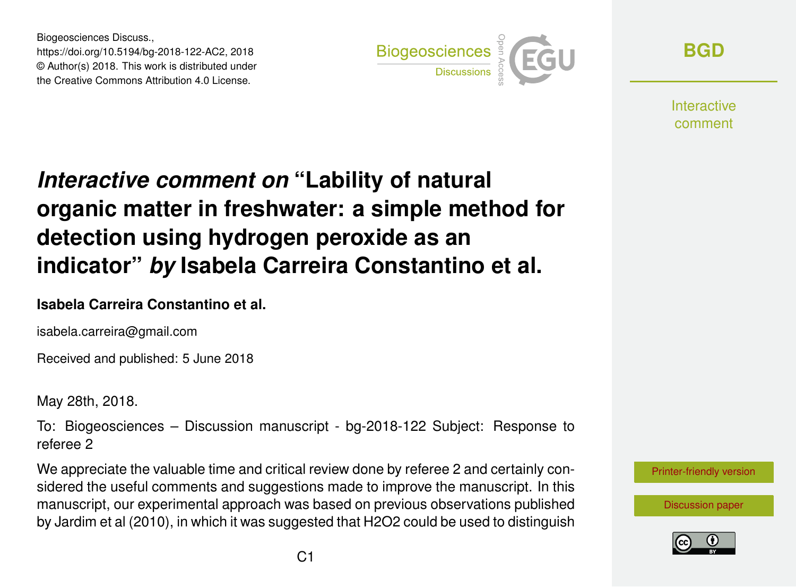Biogeosciences Discuss., https://doi.org/10.5194/bg-2018-122-AC2, 2018 © Author(s) 2018. This work is distributed under the Creative Commons Attribution 4.0 License.



**[BGD](https://www.biogeosciences-discuss.net/)**

**Interactive** comment

# *Interactive comment on* **"Lability of natural organic matter in freshwater: a simple method for detection using hydrogen peroxide as an indicator"** *by* **Isabela Carreira Constantino et al.**

#### **Isabela Carreira Constantino et al.**

isabela.carreira@gmail.com

Received and published: 5 June 2018

May 28th, 2018.

To: Biogeosciences – Discussion manuscript - bg-2018-122 Subject: Response to referee 2

We appreciate the valuable time and critical review done by referee 2 and certainly considered the useful comments and suggestions made to improve the manuscript. In this manuscript, our experimental approach was based on previous observations published by Jardim et al (2010), in which it was suggested that H2O2 could be used to distinguish



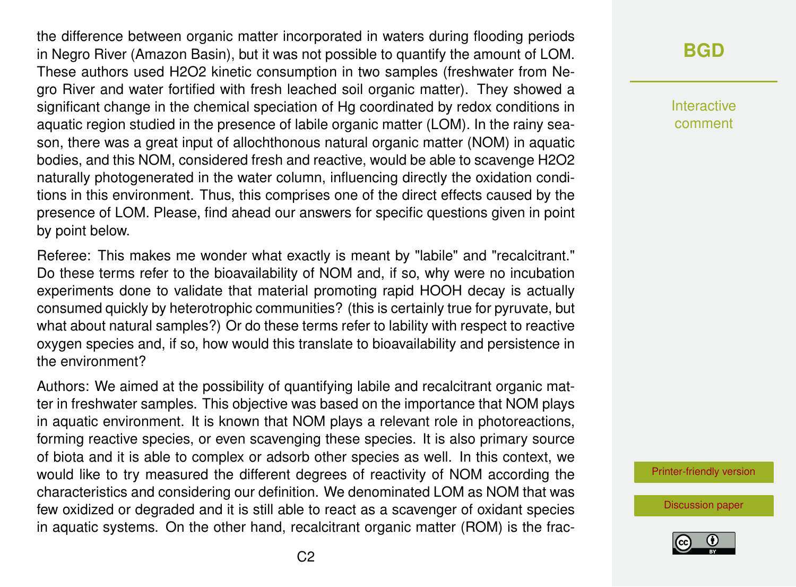the difference between organic matter incorporated in waters during flooding periods in Negro River (Amazon Basin), but it was not possible to quantify the amount of LOM. These authors used H2O2 kinetic consumption in two samples (freshwater from Negro River and water fortified with fresh leached soil organic matter). They showed a significant change in the chemical speciation of Hg coordinated by redox conditions in aquatic region studied in the presence of labile organic matter (LOM). In the rainy season, there was a great input of allochthonous natural organic matter (NOM) in aquatic bodies, and this NOM, considered fresh and reactive, would be able to scavenge H2O2 naturally photogenerated in the water column, influencing directly the oxidation conditions in this environment. Thus, this comprises one of the direct effects caused by the presence of LOM. Please, find ahead our answers for specific questions given in point by point below.

Referee: This makes me wonder what exactly is meant by "labile" and "recalcitrant." Do these terms refer to the bioavailability of NOM and, if so, why were no incubation experiments done to validate that material promoting rapid HOOH decay is actually consumed quickly by heterotrophic communities? (this is certainly true for pyruvate, but what about natural samples?) Or do these terms refer to lability with respect to reactive oxygen species and, if so, how would this translate to bioavailability and persistence in the environment?

Authors: We aimed at the possibility of quantifying labile and recalcitrant organic matter in freshwater samples. This objective was based on the importance that NOM plays in aquatic environment. It is known that NOM plays a relevant role in photoreactions, forming reactive species, or even scavenging these species. It is also primary source of biota and it is able to complex or adsorb other species as well. In this context, we would like to try measured the different degrees of reactivity of NOM according the characteristics and considering our definition. We denominated LOM as NOM that was few oxidized or degraded and it is still able to react as a scavenger of oxidant species in aquatic systems. On the other hand, recalcitrant organic matter (ROM) is the frac**[BGD](https://www.biogeosciences-discuss.net/)**

Interactive comment

[Printer-friendly version](https://www.biogeosciences-discuss.net/bg-2018-122/bg-2018-122-AC2-print.pdf)

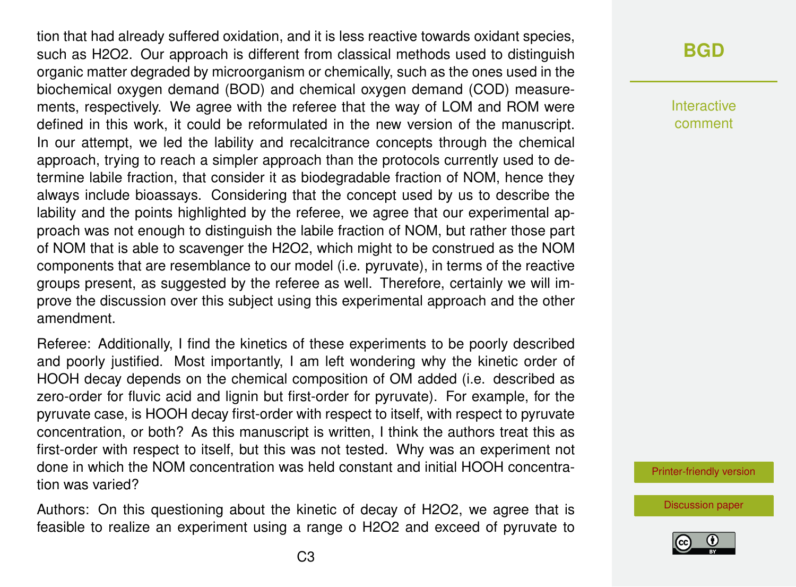tion that had already suffered oxidation, and it is less reactive towards oxidant species, such as H2O2. Our approach is different from classical methods used to distinguish organic matter degraded by microorganism or chemically, such as the ones used in the biochemical oxygen demand (BOD) and chemical oxygen demand (COD) measurements, respectively. We agree with the referee that the way of LOM and ROM were defined in this work, it could be reformulated in the new version of the manuscript. In our attempt, we led the lability and recalcitrance concepts through the chemical approach, trying to reach a simpler approach than the protocols currently used to determine labile fraction, that consider it as biodegradable fraction of NOM, hence they always include bioassays. Considering that the concept used by us to describe the lability and the points highlighted by the referee, we agree that our experimental approach was not enough to distinguish the labile fraction of NOM, but rather those part of NOM that is able to scavenger the H2O2, which might to be construed as the NOM components that are resemblance to our model (i.e. pyruvate), in terms of the reactive groups present, as suggested by the referee as well. Therefore, certainly we will improve the discussion over this subject using this experimental approach and the other amendment.

Referee: Additionally, I find the kinetics of these experiments to be poorly described and poorly justified. Most importantly, I am left wondering why the kinetic order of HOOH decay depends on the chemical composition of OM added (i.e. described as zero-order for fluvic acid and lignin but first-order for pyruvate). For example, for the pyruvate case, is HOOH decay first-order with respect to itself, with respect to pyruvate concentration, or both? As this manuscript is written, I think the authors treat this as first-order with respect to itself, but this was not tested. Why was an experiment not done in which the NOM concentration was held constant and initial HOOH concentration was varied?

Authors: On this questioning about the kinetic of decay of H2O2, we agree that is feasible to realize an experiment using a range o H2O2 and exceed of pyruvate to

### **[BGD](https://www.biogeosciences-discuss.net/)**

Interactive comment

[Printer-friendly version](https://www.biogeosciences-discuss.net/bg-2018-122/bg-2018-122-AC2-print.pdf)

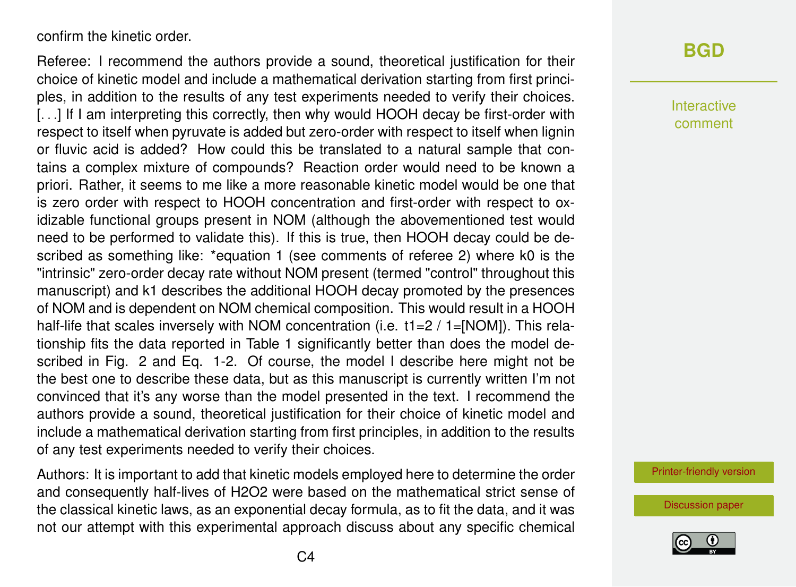confirm the kinetic order.

Referee: I recommend the authors provide a sound, theoretical justification for their choice of kinetic model and include a mathematical derivation starting from first principles, in addition to the results of any test experiments needed to verify their choices. [...] If I am interpreting this correctly, then why would HOOH decay be first-order with respect to itself when pyruvate is added but zero-order with respect to itself when lignin or fluvic acid is added? How could this be translated to a natural sample that contains a complex mixture of compounds? Reaction order would need to be known a priori. Rather, it seems to me like a more reasonable kinetic model would be one that is zero order with respect to HOOH concentration and first-order with respect to oxidizable functional groups present in NOM (although the abovementioned test would need to be performed to validate this). If this is true, then HOOH decay could be described as something like: \*equation 1 (see comments of referee 2) where k0 is the "intrinsic" zero-order decay rate without NOM present (termed "control" throughout this manuscript) and k1 describes the additional HOOH decay promoted by the presences of NOM and is dependent on NOM chemical composition. This would result in a HOOH half-life that scales inversely with NOM concentration (i.e.  $t1=2/1=[NOM]$ ). This relationship fits the data reported in Table 1 significantly better than does the model described in Fig. 2 and Eq. 1-2. Of course, the model I describe here might not be the best one to describe these data, but as this manuscript is currently written I'm not convinced that it's any worse than the model presented in the text. I recommend the authors provide a sound, theoretical justification for their choice of kinetic model and include a mathematical derivation starting from first principles, in addition to the results of any test experiments needed to verify their choices.

Authors: It is important to add that kinetic models employed here to determine the order and consequently half-lives of H2O2 were based on the mathematical strict sense of the classical kinetic laws, as an exponential decay formula, as to fit the data, and it was not our attempt with this experimental approach discuss about any specific chemical

# **[BGD](https://www.biogeosciences-discuss.net/)**

Interactive comment

[Printer-friendly version](https://www.biogeosciences-discuss.net/bg-2018-122/bg-2018-122-AC2-print.pdf)

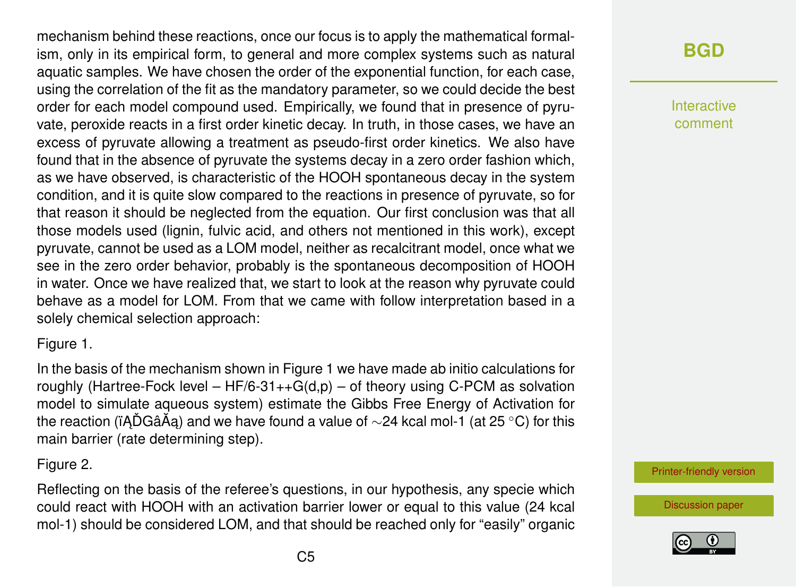mechanism behind these reactions, once our focus is to apply the mathematical formalism, only in its empirical form, to general and more complex systems such as natural aquatic samples. We have chosen the order of the exponential function, for each case, using the correlation of the fit as the mandatory parameter, so we could decide the best order for each model compound used. Empirically, we found that in presence of pyruvate, peroxide reacts in a first order kinetic decay. In truth, in those cases, we have an excess of pyruvate allowing a treatment as pseudo-first order kinetics. We also have found that in the absence of pyruvate the systems decay in a zero order fashion which, as we have observed, is characteristic of the HOOH spontaneous decay in the system condition, and it is quite slow compared to the reactions in presence of pyruvate, so for that reason it should be neglected from the equation. Our first conclusion was that all those models used (lignin, fulvic acid, and others not mentioned in this work), except pyruvate, cannot be used as a LOM model, neither as recalcitrant model, once what we see in the zero order behavior, probably is the spontaneous decomposition of HOOH in water. Once we have realized that, we start to look at the reason why pyruvate could behave as a model for LOM. From that we came with follow interpretation based in a solely chemical selection approach:

#### Figure 1.

In the basis of the mechanism shown in Figure 1 we have made ab initio calculations for roughly (Hartree-Fock level –  $HF/6-31++G(d,p)$  – of theory using C-PCM as solvation model to simulate aqueous system) estimate the Gibbs Free Energy of Activation for the reaction (ïADGâÃa) and we have found a value of  $\sim$ 24 kcal mol-1 (at 25 °C) for this main barrier (rate determining step).

#### Figure 2.

Reflecting on the basis of the referee's questions, in our hypothesis, any specie which could react with HOOH with an activation barrier lower or equal to this value (24 kcal mol-1) should be considered LOM, and that should be reached only for "easily" organic

# **[BGD](https://www.biogeosciences-discuss.net/)**

Interactive comment

[Printer-friendly version](https://www.biogeosciences-discuss.net/bg-2018-122/bg-2018-122-AC2-print.pdf)

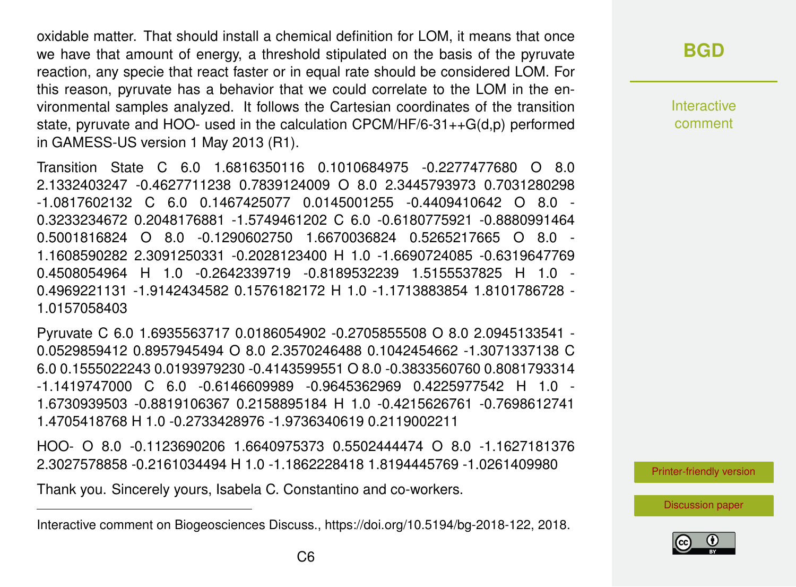oxidable matter. That should install a chemical definition for LOM, it means that once we have that amount of energy, a threshold stipulated on the basis of the pyruvate reaction, any specie that react faster or in equal rate should be considered LOM. For this reason, pyruvate has a behavior that we could correlate to the LOM in the environmental samples analyzed. It follows the Cartesian coordinates of the transition state, pyruvate and HOO- used in the calculation CPCM/HF/6-31++G(d,p) performed in GAMESS-US version 1 May 2013 (R1).

Transition State C 6.0 1.6816350116 0.1010684975 -0.2277477680 O 8.0 2.1332403247 -0.4627711238 0.7839124009 O 8.0 2.3445793973 0.7031280298 -1.0817602132 C 6.0 0.1467425077 0.0145001255 -0.4409410642 O 8.0 - 0.3233234672 0.2048176881 -1.5749461202 C 6.0 -0.6180775921 -0.8880991464 0.5001816824 O 8.0 -0.1290602750 1.6670036824 0.5265217665 O 8.0 - 1.1608590282 2.3091250331 -0.2028123400 H 1.0 -1.6690724085 -0.6319647769 0.4508054964 H 1.0 -0.2642339719 -0.8189532239 1.5155537825 H 1.0 - 0.4969221131 -1.9142434582 0.1576182172 H 1.0 -1.1713883854 1.8101786728 - 1.0157058403

Pyruvate C 6.0 1.6935563717 0.0186054902 -0.2705855508 O 8.0 2.0945133541 - 0.0529859412 0.8957945494 O 8.0 2.3570246488 0.1042454662 -1.3071337138 C 6.0 0.1555022243 0.0193979230 -0.4143599551 O 8.0 -0.3833560760 0.8081793314 -1.1419747000 C 6.0 -0.6146609989 -0.9645362969 0.4225977542 H 1.0 - 1.6730939503 -0.8819106367 0.2158895184 H 1.0 -0.4215626761 -0.7698612741 1.4705418768 H 1.0 -0.2733428976 -1.9736340619 0.2119002211

HOO- O 8.0 -0.1123690206 1.6640975373 0.5502444474 O 8.0 -1.1627181376 2.3027578858 -0.2161034494 H 1.0 -1.1862228418 1.8194445769 -1.0261409980

Thank you. Sincerely yours, Isabela C. Constantino and co-workers.

# **[BGD](https://www.biogeosciences-discuss.net/)**

Interactive comment

[Printer-friendly version](https://www.biogeosciences-discuss.net/bg-2018-122/bg-2018-122-AC2-print.pdf)



Interactive comment on Biogeosciences Discuss., https://doi.org/10.5194/bg-2018-122, 2018.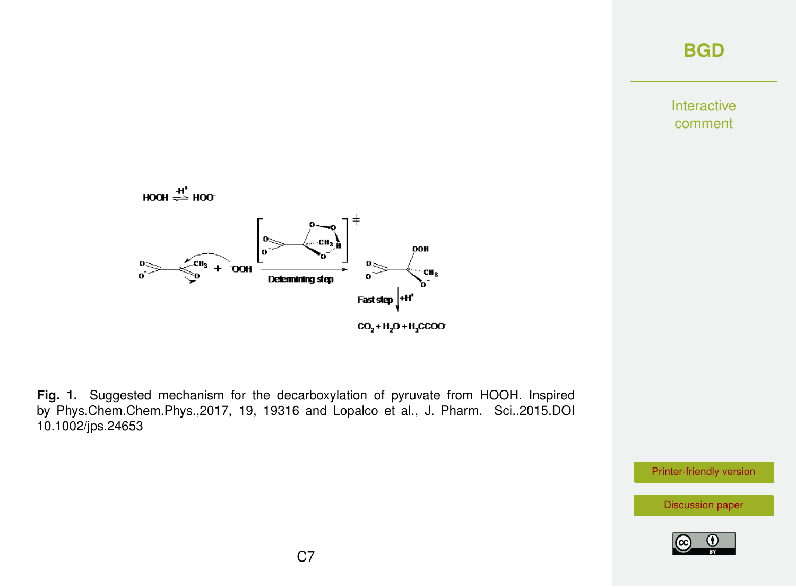Interactive comment



**Fig. 1.** Suggested mechanism for the decarboxylation of pyruvate from HOOH. Inspired by Phys.Chem.Chem.Phys.,2017, 19, 19316 and Lopalco et al., J. Pharm. Sci..2015.DOI 10.1002/jps.24653

[Printer-friendly version](https://www.biogeosciences-discuss.net/bg-2018-122/bg-2018-122-AC2-print.pdf)